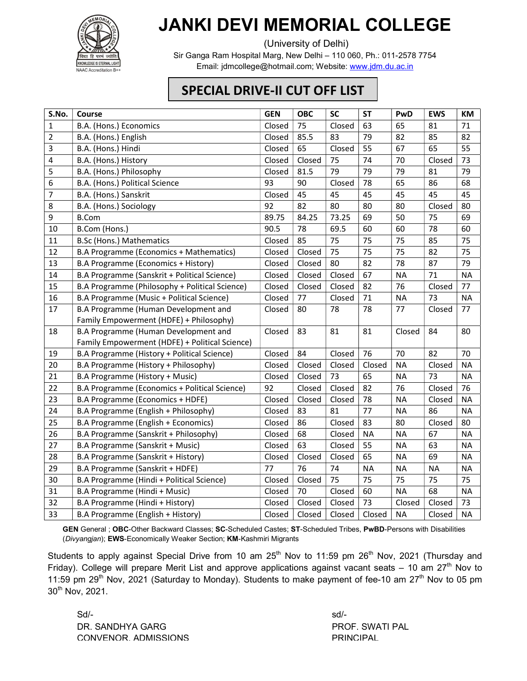

## JANKI DEVI MEMORIAL COLLEGE

(University of Delhi)

Sir Ganga Ram Hospital Marg, New Delhi – 110 060, Ph.: 011-2578 7754 Email: jdmcollege@hotmail.com; Website: www.jdm.du.ac.in

## SPECIAL DRIVE-II CUT OFF LIST

| S.No.          | Course                                         | <b>GEN</b> | <b>OBC</b> | <b>SC</b> | <b>ST</b> | PwD       | <b>EWS</b> | KM        |
|----------------|------------------------------------------------|------------|------------|-----------|-----------|-----------|------------|-----------|
| $\mathbf{1}$   | B.A. (Hons.) Economics                         | Closed     | 75         | Closed    | 63        | 65        | 81         | 71        |
| $\overline{2}$ | B.A. (Hons.) English                           | Closed     | 85.5       | 83        | 79        | 82        | 85         | 82        |
| $\mathsf{3}$   | B.A. (Hons.) Hindi                             | Closed     | 65         | Closed    | 55        | 67        | 65         | 55        |
| $\overline{4}$ | B.A. (Hons.) History                           | Closed     | Closed     | 75        | 74        | 70        | Closed     | 73        |
| 5              | B.A. (Hons.) Philosophy                        | Closed     | 81.5       | 79        | 79        | 79        | 81         | 79        |
| 6              | B.A. (Hons.) Political Science                 | 93         | 90         | Closed    | 78        | 65        | 86         | 68        |
| $\overline{7}$ | B.A. (Hons.) Sanskrit                          | Closed     | 45         | 45        | 45        | 45        | 45         | 45        |
| $\,8\,$        | B.A. (Hons.) Sociology                         | 92         | 82         | 80        | 80        | 80        | Closed     | 80        |
| 9              | <b>B.Com</b>                                   | 89.75      | 84.25      | 73.25     | 69        | 50        | 75         | 69        |
| 10             | B.Com (Hons.)                                  | 90.5       | 78         | 69.5      | 60        | 60        | 78         | 60        |
| 11             | <b>B.Sc (Hons.) Mathematics</b>                | Closed     | 85         | 75        | 75        | 75        | 85         | 75        |
| 12             | B.A Programme (Economics + Mathematics)        | Closed     | Closed     | 75        | 75        | 75        | 82         | 75        |
| 13             | B.A Programme (Economics + History)            | Closed     | Closed     | 80        | 82        | 78        | 87         | 79        |
| 14             | B.A Programme (Sanskrit + Political Science)   | Closed     | Closed     | Closed    | 67        | <b>NA</b> | 71         | <b>NA</b> |
| 15             | B.A Programme (Philosophy + Political Science) | Closed     | Closed     | Closed    | 82        | 76        | Closed     | 77        |
| 16             | B.A Programme (Music + Political Science)      | Closed     | 77         | Closed    | 71        | <b>NA</b> | 73         | <b>NA</b> |
| 17             | B.A Programme (Human Development and           | Closed     | 80         | 78        | 78        | 77        | Closed     | 77        |
|                | Family Empowerment (HDFE) + Philosophy)        |            |            |           |           |           |            |           |
| 18             | B.A Programme (Human Development and           | Closed     | 83         | 81        | 81        | Closed    | 84         | 80        |
|                | Family Empowerment (HDFE) + Political Science) |            |            |           |           |           |            |           |
| 19             | B.A Programme (History + Political Science)    | Closed     | 84         | Closed    | 76        | 70        | 82         | 70        |
| 20             | B.A Programme (History + Philosophy)           | Closed     | Closed     | Closed    | Closed    | <b>NA</b> | Closed     | <b>NA</b> |
| 21             | B.A Programme (History + Music)                | Closed     | Closed     | 73        | 65        | <b>NA</b> | 73         | <b>NA</b> |
| 22             | B.A Programme (Economics + Political Science)  | 92         | Closed     | Closed    | 82        | 76        | Closed     | 76        |
| 23             | B.A Programme (Economics + HDFE)               | Closed     | Closed     | Closed    | 78        | <b>NA</b> | Closed     | <b>NA</b> |
| 24             | B.A Programme (English + Philosophy)           | Closed     | 83         | 81        | 77        | <b>NA</b> | 86         | <b>NA</b> |
| 25             | B.A Programme (English + Economics)            | Closed     | 86         | Closed    | 83        | 80        | Closed     | 80        |
| 26             | B.A Programme (Sanskrit + Philosophy)          | Closed     | 68         | Closed    | <b>NA</b> | <b>NA</b> | 67         | <b>NA</b> |
| 27             | B.A Programme (Sanskrit + Music)               | Closed     | 63         | Closed    | 55        | <b>NA</b> | 63         | <b>NA</b> |
| 28             | B.A Programme (Sanskrit + History)             | Closed     | Closed     | Closed    | 65        | <b>NA</b> | 69         | <b>NA</b> |
| 29             | B.A Programme (Sanskrit + HDFE)                | 77         | 76         | 74        | <b>NA</b> | <b>NA</b> | <b>NA</b>  | <b>NA</b> |
| 30             | B.A Programme (Hindi + Political Science)      | Closed     | Closed     | 75        | 75        | 75        | 75         | 75        |
| 31             | B.A Programme (Hindi + Music)                  | Closed     | 70         | Closed    | 60        | <b>NA</b> | 68         | <b>NA</b> |
| 32             | B.A Programme (Hindi + History)                | Closed     | Closed     | Closed    | 73        | Closed    | Closed     | 73        |
| 33             | B.A Programme (English + History)              | Closed     | Closed     | Closed    | Closed    | <b>NA</b> | Closed     | <b>NA</b> |

GEN General ; OBC-Other Backward Classes; SC-Scheduled Castes; ST-Scheduled Tribes, PwBD-Persons with Disabilities (Divyangjan); EWS-Economically Weaker Section; KM-Kashmiri Migrants

Students to apply against Special Drive from 10 am  $25<sup>th</sup>$  Nov to 11:59 pm  $26<sup>th</sup>$  Nov, 2021 (Thursday and Friday). College will prepare Merit List and approve applications against vacant seats  $-10$  am  $27<sup>th</sup>$  Nov to 11:59 pm 29<sup>th</sup> Nov, 2021 (Saturday to Monday). Students to make payment of fee-10 am 27<sup>th</sup> Nov to 05 pm 30th Nov, 2021.

 $Sd/-$ DR. SANDHYA GARG PROF. SWATI PAL CONVENOR, ADMISSIONS PRINCIPAL